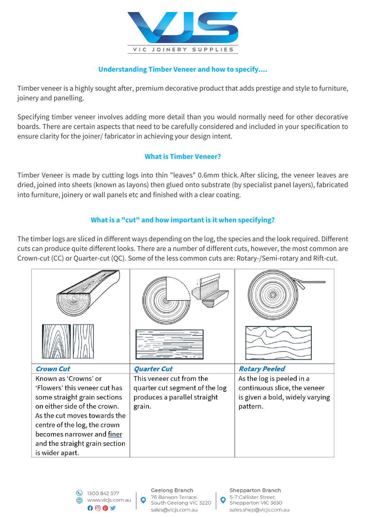

# **Understanding Timber Veneer and how to specify....**

Timber veneer is a highly sought after, premium decorative product that adds prestige and style to furniture, joinery and panelling.

Specifying timber veneer involves adding more detail than you would normally need for other decorative boards. There are certain aspects that need to be carefully considered and included in your specification to ensure clarity for the joiner/ fabricator in achieving your design intent.

## **What is Timber Veneer?**

Timber Veneer is made by cutting logs into thin "leaves" 0.6mm thick. After slicing, the veneer leaves are dried, joined into sheets (known as layons) then glued onto substrate (by specialist panel layers), fabricated into furniture, joinery or wall panels etc and finished with a clear coating.

# **What is a "cut" and how important is it when specifying?**

The timber logs are sliced in different ways depending on the log, the species and the look required. Different cuts can produce quite different looks. There are a number of different cuts, however, the most common are Crown-cut (CC) or Quarter-cut (QC). Some of the less common cuts are: Rotary-/Semi-rotary and Rift-cut.

| <b>Crown Cut</b>                                                                                                                                                                                                                                                         | <b>Quarter Cut</b>                                                                                   | <b>Rotary Peeled</b>                                                                                     |
|--------------------------------------------------------------------------------------------------------------------------------------------------------------------------------------------------------------------------------------------------------------------------|------------------------------------------------------------------------------------------------------|----------------------------------------------------------------------------------------------------------|
| Known as 'Crowns' or<br>'Flowers' this veneer cut has<br>some straight grain sections<br>on either side of the crown.<br>As the cut moves towards the<br>centre of the log, the crown<br>becomes narrower and finer<br>and the straight grain section<br>is wider apart. | This veneer cut from the<br>quarter cut segment of the log<br>produces a parallel straight<br>grain. | As the log is peeled in a<br>continuous slice, the veneer<br>is given a bold, widely varying<br>pattern. |

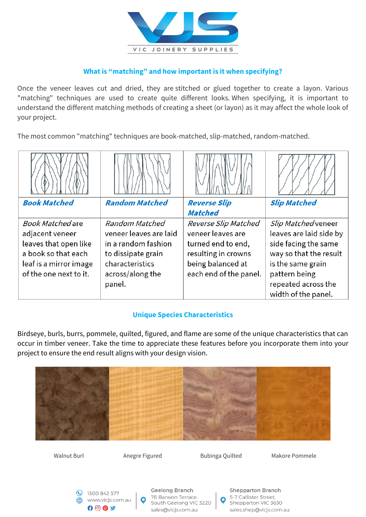

# **What is "matching" and how important is it when specifying?**

Once the veneer leaves cut and dried, they are stitched or glued together to create a layon. Various "matching" techniques are used to create quite different looks. When specifying, it is important to understand the different matching methods of creating a sheet (or layon) as it may affect the whole look of your project.

The most common "matching" techniques are book-matched, slip-matched, random-matched.

| <b>Book Matched</b>     | <b>Random Matched</b>  | <b>Reverse Slip</b>    | <b>Slip Matched</b>     |
|-------------------------|------------------------|------------------------|-------------------------|
|                         |                        | <b>Matched</b>         |                         |
| <b>Book Matched are</b> | Random Matched         | Reverse Slip Matched   | Slip Matched veneer     |
| adjacent veneer         | veneer leaves are laid | veneer leaves are      | leaves are laid side by |
| leaves that open like   | in a random fashion    | turned end to end,     | side facing the same    |
| a book so that each     | to dissipate grain     | resulting in crowns    | way so that the result  |
| leaf is a mirror image  | characteristics        | being balanced at      | is the same grain       |
| of the one next to it.  | across/along the       | each end of the panel. | pattern being           |
|                         | panel.                 |                        | repeated across the     |
|                         |                        |                        | width of the panel.     |

### **Unique Species Characteristics**

Birdseye, burls, burrs, pommele, quilted, figured, and flame are some of the unique characteristics that can occur in timber veneer. Take the time to appreciate these features before you incorporate them into your project to ensure the end result aligns with your design vision.



South Geelong VIC 3220

sales@vicjs.com.au

Shepparton VIC 3630

sales.shep@vicjs.com.au

www.vicjs.com.au

 $000$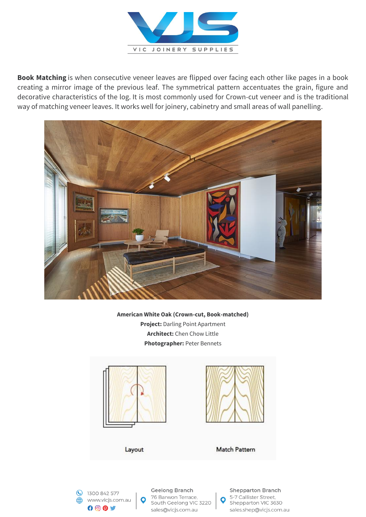

**Book Matching** is when consecutive veneer leaves are flipped over facing each other like pages in a book creating a mirror image of the previous leaf. The symmetrical pattern accentuates the grain, figure and decorative characteristics of the log. It is most commonly used for Crown-cut veneer and is the traditional way of matching veneer leaves. It works well for joinery, cabinetry and small areas of wall panelling.



**American White Oak (Crown-cut, Book-matched) Project:** Darling Point Apartment **Architect:** Chen Chow Little **Photographer:** Peter Bennets





**Geelong Branch** 76 Barwon Terrace, South Geelong VIC 3220 sales@vicjs.com.au

**Shepparton Branch** 5-7 Callister Street, Shepparton VIC 3630 sales.shep@vicjs.com.au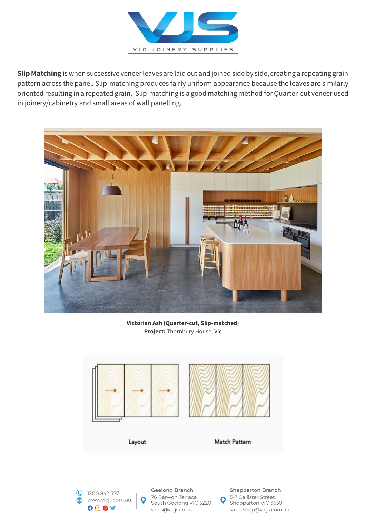

**Slip Matching** is when successive veneer leaves are laid out and joined side by side, creating a repeating grain pattern across the panel. Slip-matching produces fairly uniform appearance because the leaves are similarly oriented resulting in a repeated grain. Slip-matching is a good matching method for Quarter-cut veneer used in joinery/cabinetry and small areas of wall panelling.



**Victorian Ash (Quarter-cut, Slip-matched**) **Project:** Thornbury House, Vic





Geelong Branch 76 Barwon Terrace, South Geelong VIC 3220 sales@vicjs.com.au

**Shepparton Branch** 5-7 Callister Street, Shepparton VIC 3630 sales.shep@vicjs.com.au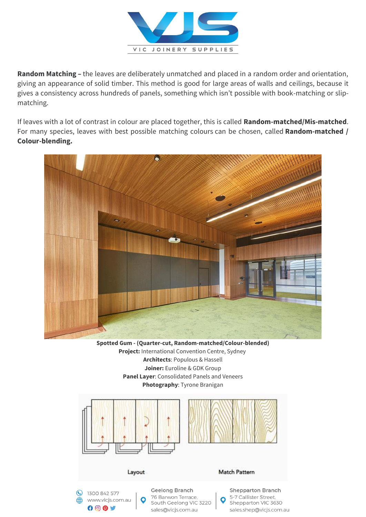

**Random Matching –** the leaves are deliberately unmatched and placed in a random order and orientation, giving an appearance of solid timber. This method is good for large areas of walls and ceilings, because it gives a consistency across hundreds of panels, something which isn't possible with book-matching or slipmatching.

If leaves with a lot of contrast in colour are placed together, this is called **Random-matched/Mis-matched**. For many species, leaves with best possible matching colours can be chosen, called **Random-matched / Colour-blending.**



**Spotted Gum - (Quarter-cut, Random-matched/Colour-blended) Project:** International Convention Centre, Sydney **Architects**: Populous & Hassell **Joiner:** Euroline & GDK Group **Panel Layer**: Consolidated Panels and Veneers **Photography**: Tyrone Branigan



sales@vicjs.com.au

sales.shep@vicjs.com.au

 $000$